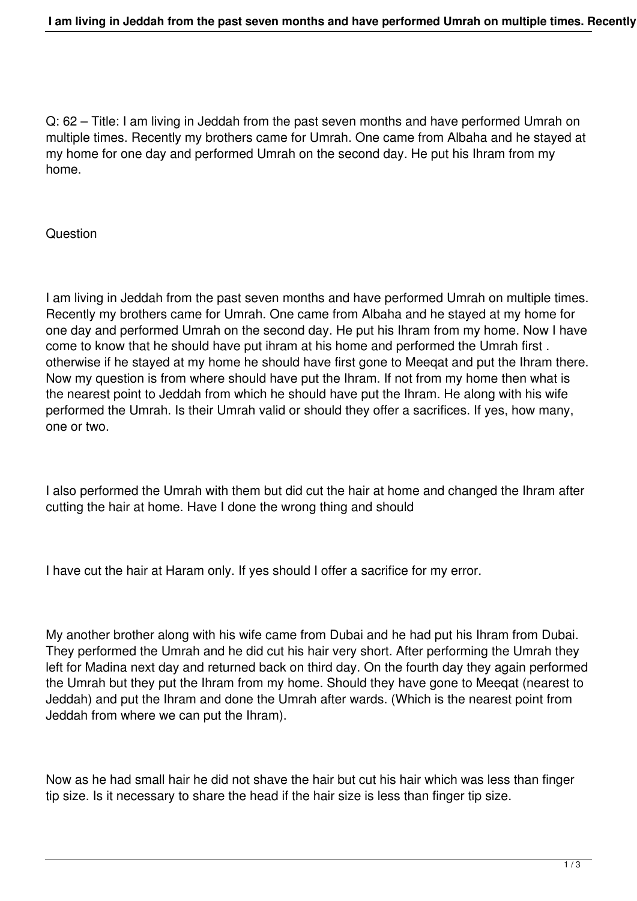Q: 62 – Title: I am living in Jeddah from the past seven months and have performed Umrah on multiple times. Recently my brothers came for Umrah. One came from Albaha and he stayed at my home for one day and performed Umrah on the second day. He put his Ihram from my home.

## Question

I am living in Jeddah from the past seven months and have performed Umrah on multiple times. Recently my brothers came for Umrah. One came from Albaha and he stayed at my home for one day and performed Umrah on the second day. He put his Ihram from my home. Now I have come to know that he should have put ihram at his home and performed the Umrah first . otherwise if he stayed at my home he should have first gone to Meeqat and put the Ihram there. Now my question is from where should have put the Ihram. If not from my home then what is the nearest point to Jeddah from which he should have put the Ihram. He along with his wife performed the Umrah. Is their Umrah valid or should they offer a sacrifices. If yes, how many, one or two.

I also performed the Umrah with them but did cut the hair at home and changed the Ihram after cutting the hair at home. Have I done the wrong thing and should

I have cut the hair at Haram only. If yes should I offer a sacrifice for my error.

My another brother along with his wife came from Dubai and he had put his Ihram from Dubai. They performed the Umrah and he did cut his hair very short. After performing the Umrah they left for Madina next day and returned back on third day. On the fourth day they again performed the Umrah but they put the Ihram from my home. Should they have gone to Meeqat (nearest to Jeddah) and put the Ihram and done the Umrah after wards. (Which is the nearest point from Jeddah from where we can put the Ihram).

Now as he had small hair he did not shave the hair but cut his hair which was less than finger tip size. Is it necessary to share the head if the hair size is less than finger tip size.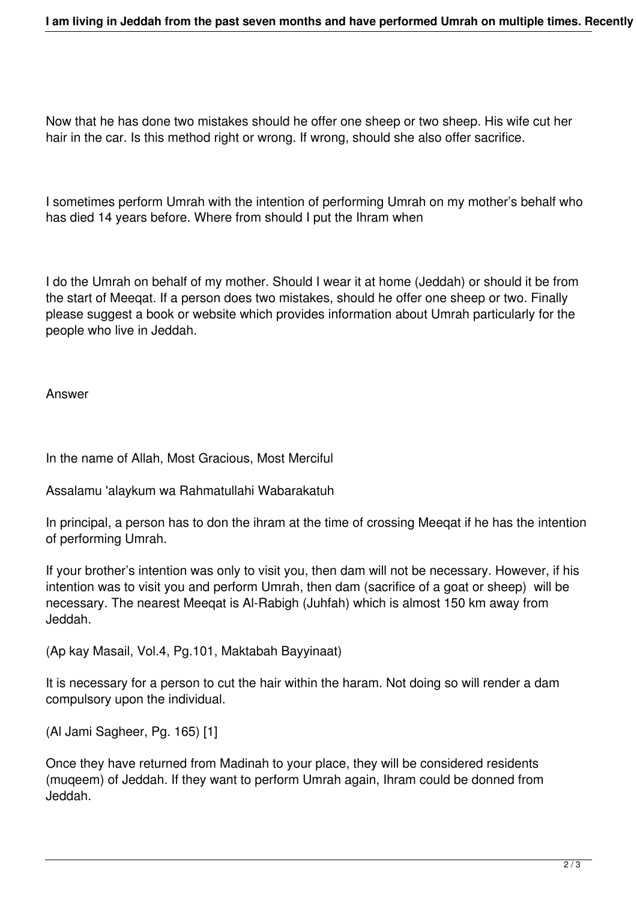Now that he has done two mistakes should he offer one sheep or two sheep. His wife cut her hair in the car. Is this method right or wrong. If wrong, should she also offer sacrifice.

I sometimes perform Umrah with the intention of performing Umrah on my mother's behalf who has died 14 years before. Where from should I put the Ihram when

I do the Umrah on behalf of my mother. Should I wear it at home (Jeddah) or should it be from the start of Meeqat. If a person does two mistakes, should he offer one sheep or two. Finally please suggest a book or website which provides information about Umrah particularly for the people who live in Jeddah.

Answer

In the name of Allah, Most Gracious, Most Merciful

Assalamu 'alaykum wa Rahmatullahi Wabarakatuh

In principal, a person has to don the ihram at the time of crossing Meeqat if he has the intention of performing Umrah.

If your brother's intention was only to visit you, then dam will not be necessary. However, if his intention was to visit you and perform Umrah, then dam (sacrifice of a goat or sheep) will be necessary. The nearest Meeqat is Al-Rabigh (Juhfah) which is almost 150 km away from Jeddah.

(Ap kay Masail, Vol.4, Pg.101, Maktabah Bayyinaat)

It is necessary for a person to cut the hair within the haram. Not doing so will render a dam compulsory upon the individual.

(Al Jami Sagheer, Pg. 165) [1]

Once they have returned from Madinah to your place, they will be considered residents (muqeem) of Jeddah. If they want to perform Umrah again, Ihram could be donned from Jeddah.